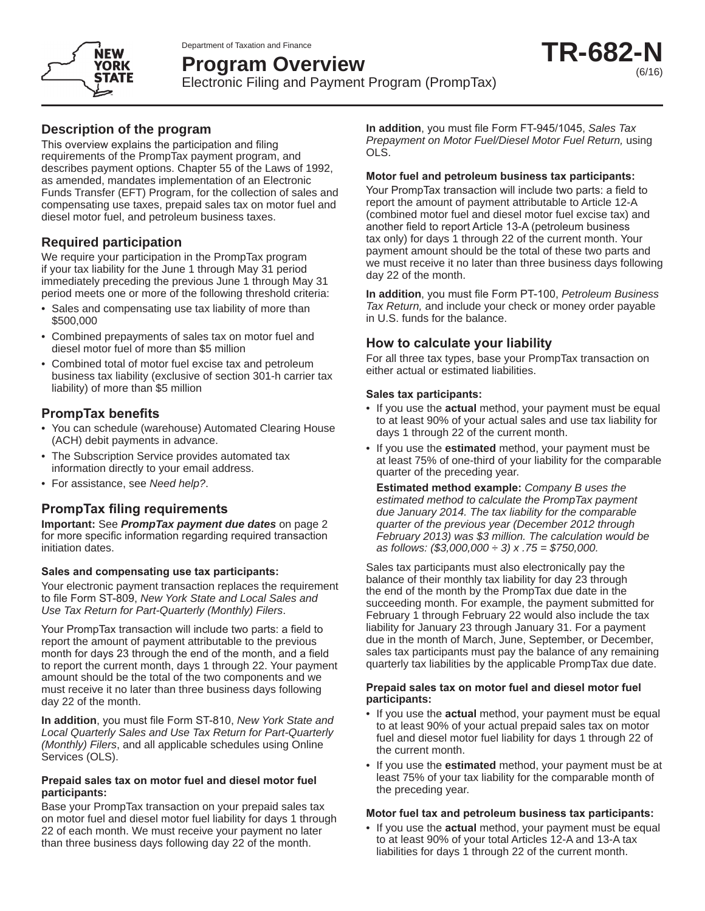Department of Taxation and Finance



# **Program Overview**

Electronic Filing and Payment Program (PrompTax)

# **Description of the program**

This overview explains the participation and filing requirements of the PrompTax payment program, and describes payment options. Chapter 55 of the Laws of 1992, as amended, mandates implementation of an Electronic Funds Transfer (EFT) Program, for the collection of sales and compensating use taxes, prepaid sales tax on motor fuel and diesel motor fuel, and petroleum business taxes.

# **Required participation**

We require your participation in the PrompTax program if your tax liability for the June 1 through May 31 period immediately preceding the previous June 1 through May 31 period meets one or more of the following threshold criteria:

- Sales and compensating use tax liability of more than \$500,000
- Combined prepayments of sales tax on motor fuel and diesel motor fuel of more than \$5 million
- Combined total of motor fuel excise tax and petroleum business tax liability (exclusive of section 301-h carrier tax liability) of more than \$5 million

# **PrompTax benefits**

- You can schedule (warehouse) Automated Clearing House (ACH) debit payments in advance.
- The Subscription Service provides automated tax information directly to your email address.
- For assistance, see *Need help?*.

# **PrompTax filing requirements**

**Important:** See *PrompTax payment due dates* on page 2 for more specific information regarding required transaction initiation dates.

#### **Sales and compensating use tax participants:**

Your electronic payment transaction replaces the requirement to file Form ST-809, *New York State and Local Sales and Use Tax Return for Part-Quarterly (Monthly) Filers*.

Your PrompTax transaction will include two parts: a field to report the amount of payment attributable to the previous month for days 23 through the end of the month, and a field to report the current month, days 1 through 22. Your payment amount should be the total of the two components and we must receive it no later than three business days following day 22 of the month.

**In addition**, you must file Form ST-810, *New York State and Local Quarterly Sales and Use Tax Return for Part-Quarterly (Monthly) Filers*, and all applicable schedules using Online Services (OLS).

#### **Prepaid sales tax on motor fuel and diesel motor fuel participants:**

Base your PrompTax transaction on your prepaid sales tax on motor fuel and diesel motor fuel liability for days 1 through 22 of each month. We must receive your payment no later than three business days following day 22 of the month.

**In addition**, you must file Form FT-945/1045, *Sales Tax Prepayment on Motor Fuel/Diesel Motor Fuel Return,* using OLS.

### **Motor fuel and petroleum business tax participants:**

Your PrompTax transaction will include two parts: a field to report the amount of payment attributable to Article 12-A (combined motor fuel and diesel motor fuel excise tax) and another field to report Article 13-A (petroleum business tax only) for days 1 through 22 of the current month. Your payment amount should be the total of these two parts and we must receive it no later than three business days following day 22 of the month.

**In addition**, you must file Form PT-100, *Petroleum Business Tax Return,* and include your check or money order payable in U.S. funds for the balance.

# **How to calculate your liability**

For all three tax types, base your PrompTax transaction on either actual or estimated liabilities.

### **Sales tax participants:**

- If you use the **actual** method, your payment must be equal to at least 90% of your actual sales and use tax liability for days 1 through 22 of the current month.
- If you use the **estimated** method, your payment must be at least 75% of one-third of your liability for the comparable quarter of the preceding year.

**Estimated method example:** *Company B uses the estimated method to calculate the PrompTax payment due January 2014. The tax liability for the comparable quarter of the previous year (December 2012 through February 2013) was \$3 million. The calculation would be as follows: (\$3,000,000 ÷ 3) x .75 = \$750,000.*

Sales tax participants must also electronically pay the balance of their monthly tax liability for day 23 through the end of the month by the PrompTax due date in the succeeding month. For example, the payment submitted for February 1 through February 22 would also include the tax liability for January 23 through January 31. For a payment due in the month of March, June, September, or December, sales tax participants must pay the balance of any remaining quarterly tax liabilities by the applicable PrompTax due date.

#### **Prepaid sales tax on motor fuel and diesel motor fuel participants:**

- If you use the **actual** method, your payment must be equal to at least 90% of your actual prepaid sales tax on motor fuel and diesel motor fuel liability for days 1 through 22 of the current month.
- If you use the **estimated** method, your payment must be at least 75% of your tax liability for the comparable month of the preceding year.

### **Motor fuel tax and petroleum business tax participants:**

• If you use the **actual** method, your payment must be equal to at least 90% of your total Articles 12-A and 13-A tax liabilities for days 1 through 22 of the current month.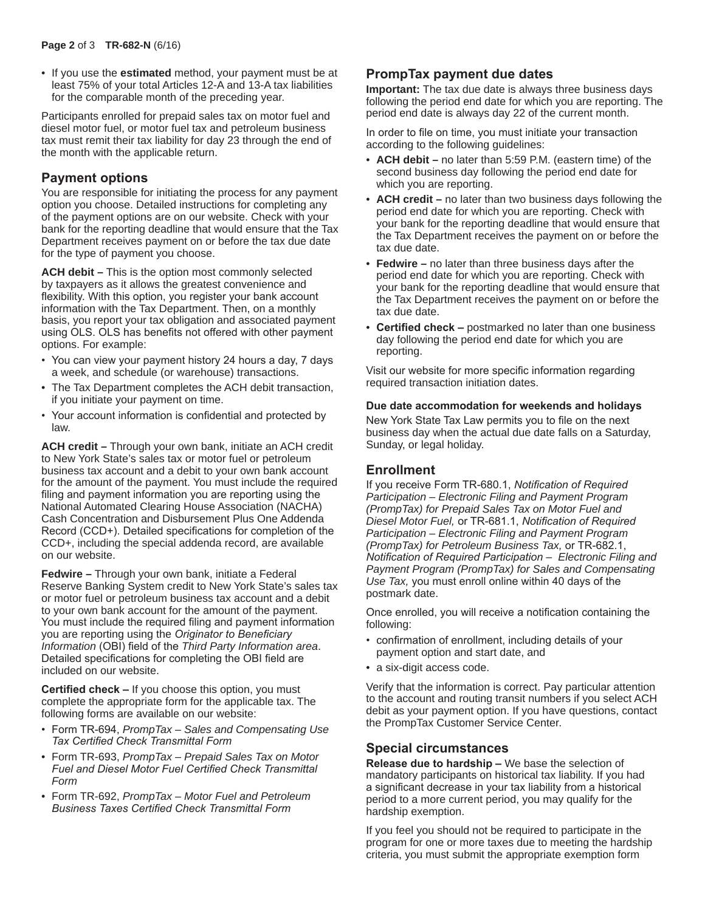• If you use the **estimated** method, your payment must be at least 75% of your total Articles 12-A and 13-A tax liabilities for the comparable month of the preceding year.

Participants enrolled for prepaid sales tax on motor fuel and diesel motor fuel, or motor fuel tax and petroleum business tax must remit their tax liability for day 23 through the end of the month with the applicable return.

# **Payment options**

You are responsible for initiating the process for any payment option you choose. Detailed instructions for completing any of the payment options are on our website. Check with your bank for the reporting deadline that would ensure that the Tax Department receives payment on or before the tax due date for the type of payment you choose.

**ACH debit –** This is the option most commonly selected by taxpayers as it allows the greatest convenience and flexibility. With this option, you register your bank account information with the Tax Department. Then, on a monthly basis, you report your tax obligation and associated payment using OLS. OLS has benefits not offered with other payment options. For example:

- You can view your payment history 24 hours a day, 7 days a week, and schedule (or warehouse) transactions.
- The Tax Department completes the ACH debit transaction, if you initiate your payment on time.
- Your account information is confidential and protected by law.

**ACH credit –** Through your own bank, initiate an ACH credit to New York State's sales tax or motor fuel or petroleum business tax account and a debit to your own bank account for the amount of the payment. You must include the required filing and payment information you are reporting using the National Automated Clearing House Association (NACHA) Cash Concentration and Disbursement Plus One Addenda Record (CCD+). Detailed specifications for completion of the CCD+, including the special addenda record, are available on our website.

**Fedwire –** Through your own bank, initiate a Federal Reserve Banking System credit to New York State's sales tax or motor fuel or petroleum business tax account and a debit to your own bank account for the amount of the payment. You must include the required filing and payment information you are reporting using the *Originator to Beneficiary Information* (OBI) field of the *Third Party Information area*. Detailed specifications for completing the OBI field are included on our website.

**Certified check –** If you choose this option, you must complete the appropriate form for the applicable tax. The following forms are available on our website:

- Form TR-694, *PrompTax Sales and Compensating Use Tax Certified Check Transmittal Form*
- Form TR-693, *PrompTax Prepaid Sales Tax on Motor Fuel and Diesel Motor Fuel Certified Check Transmittal Form*
- Form TR-692, *PrompTax Motor Fuel and Petroleum Business Taxes Certified Check Transmittal Form*

# **PrompTax payment due dates**

**Important:** The tax due date is always three business days following the period end date for which you are reporting. The period end date is always day 22 of the current month.

In order to file on time, you must initiate your transaction according to the following guidelines:

- **ACH debit –** no later than 5:59 P.M. (eastern time) of the second business day following the period end date for which you are reporting.
- **ACH credit –** no later than two business days following the period end date for which you are reporting. Check with your bank for the reporting deadline that would ensure that the Tax Department receives the payment on or before the tax due date.
- **Fedwire –** no later than three business days after the period end date for which you are reporting. Check with your bank for the reporting deadline that would ensure that the Tax Department receives the payment on or before the tax due date.
- **Certified check –** postmarked no later than one business day following the period end date for which you are reporting.

Visit our website for more specific information regarding required transaction initiation dates.

#### **Due date accommodation for weekends and holidays**

New York State Tax Law permits you to file on the next business day when the actual due date falls on a Saturday, Sunday, or legal holiday.

### **Enrollment**

If you receive Form TR-680.1, *Notification of Required Participation* – *Electronic Filing and Payment Program (PrompTax) for Prepaid Sales Tax on Motor Fuel and Diesel Motor Fuel,* or TR-681.1, *Notification of Required Participation* – *Electronic Filing and Payment Program (PrompTax) for Petroleum Business Tax,* or TR-682.1, *Notification of Required Participation* – *Electronic Filing and Payment Program (PrompTax) for Sales and Compensating Use Tax,* you must enroll online within 40 days of the postmark date.

Once enrolled, you will receive a notification containing the following:

- confirmation of enrollment, including details of your payment option and start date, and
- a six-digit access code.

Verify that the information is correct. Pay particular attention to the account and routing transit numbers if you select ACH debit as your payment option. If you have questions, contact the PrompTax Customer Service Center.

# **Special circumstances**

**Release due to hardship –** We base the selection of mandatory participants on historical tax liability. If you had a significant decrease in your tax liability from a historical period to a more current period, you may qualify for the hardship exemption.

If you feel you should not be required to participate in the program for one or more taxes due to meeting the hardship criteria, you must submit the appropriate exemption form